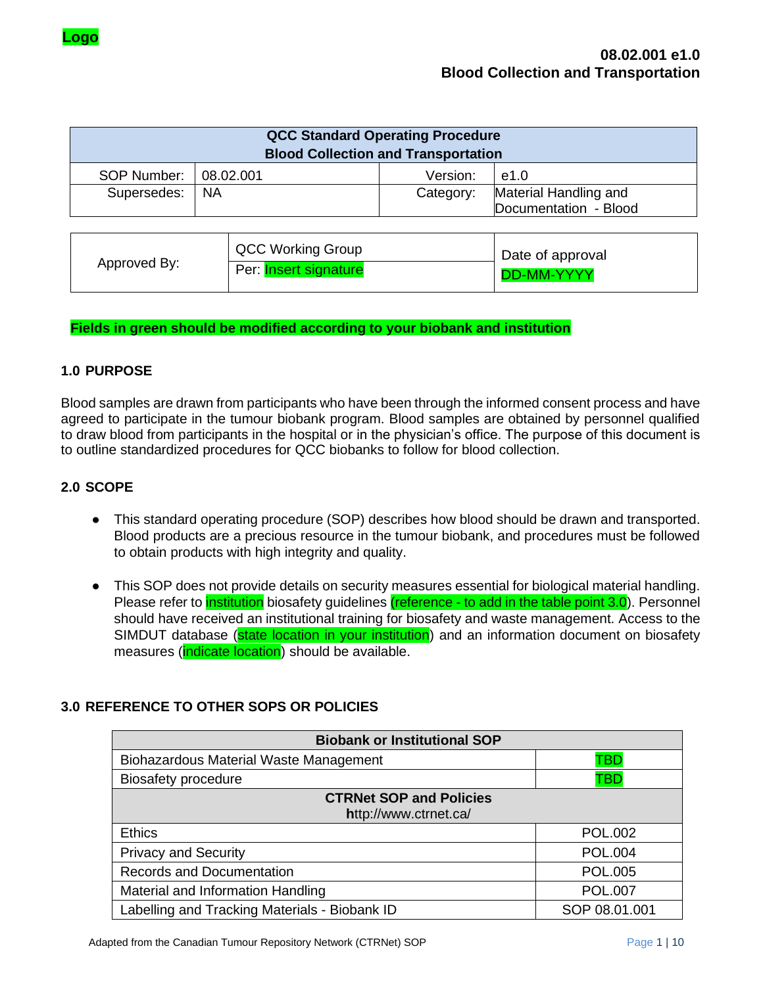|             | <b>QCC Standard Operating Procedure</b>    |           |                                                |
|-------------|--------------------------------------------|-----------|------------------------------------------------|
|             | <b>Blood Collection and Transportation</b> |           |                                                |
| SOP Number: | 08.02.001                                  | Version:  | e1.0                                           |
| Supersedes: | - NA                                       | Category: | Material Handling and<br>Documentation - Blood |

|              | QCC Working Group     | Date of approval  |
|--------------|-----------------------|-------------------|
| Approved By: | Per: Insert signature | <b>DD-MM-YYYY</b> |

#### **Fields in green should be modified according to your biobank and institution**

### **1.0 PURPOSE**

Blood samples are drawn from participants who have been through the informed consent process and have agreed to participate in the tumour biobank program. Blood samples are obtained by personnel qualified to draw blood from participants in the hospital or in the physician's office. The purpose of this document is to outline standardized procedures for QCC biobanks to follow for blood collection.

### **2.0 SCOPE**

- This standard operating procedure (SOP) describes how blood should be drawn and transported. Blood products are a precious resource in the tumour biobank, and procedures must be followed to obtain products with high integrity and quality.
- This SOP does not provide details on security measures essential for biological material handling. Please refer to *institution* biosafety guidelines (reference - to add in the table point 3.0). Personnel should have received an institutional training for biosafety and waste management. Access to the SIMDUT database (state location in your institution) and an information document on biosafety measures (*indicate location*) should be available.

## **3.0 REFERENCE TO OTHER SOPS OR POLICIES**

| <b>Biobank or Institutional SOP</b>                     |                |
|---------------------------------------------------------|----------------|
| <b>Biohazardous Material Waste Management</b>           | TBD            |
| <b>Biosafety procedure</b>                              | TBD            |
| <b>CTRNet SOP and Policies</b><br>http://www.ctrnet.ca/ |                |
| <b>Ethics</b>                                           | <b>POL.002</b> |
| <b>Privacy and Security</b>                             | <b>POL.004</b> |
| <b>Records and Documentation</b>                        | <b>POL.005</b> |
| Material and Information Handling                       | <b>POL.007</b> |
| Labelling and Tracking Materials - Biobank ID           | SOP 08.01.001  |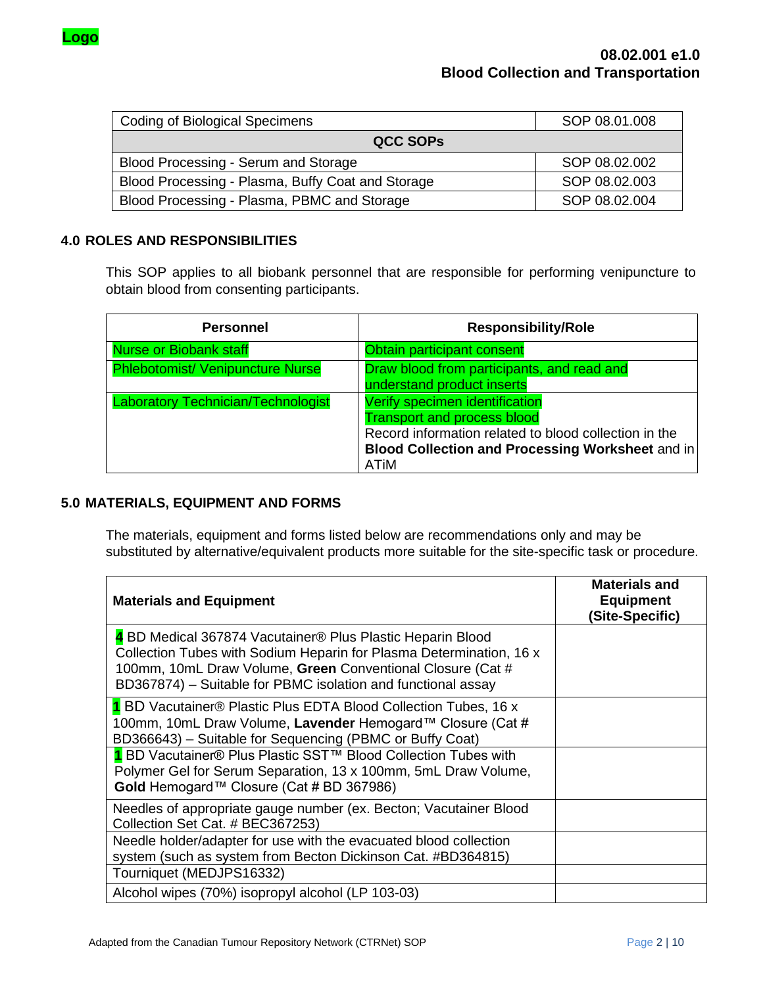

| <b>Coding of Biological Specimens</b>             | SOP 08.01.008 |
|---------------------------------------------------|---------------|
| <b>QCC SOPS</b>                                   |               |
| Blood Processing - Serum and Storage              | SOP 08.02.002 |
| Blood Processing - Plasma, Buffy Coat and Storage | SOP 08.02.003 |
| Blood Processing - Plasma, PBMC and Storage       | SOP 08.02.004 |

### **4.0 ROLES AND RESPONSIBILITIES**

This SOP applies to all biobank personnel that are responsible for performing venipuncture to obtain blood from consenting participants.

| <b>Personnel</b>                          | <b>Responsibility/Role</b>                                                                                                                                                                              |
|-------------------------------------------|---------------------------------------------------------------------------------------------------------------------------------------------------------------------------------------------------------|
| <b>Nurse or Biobank staff</b>             | Obtain participant consent                                                                                                                                                                              |
| <b>Phlebotomist/ Venipuncture Nurse</b>   | Draw blood from participants, and read and<br>understand product inserts                                                                                                                                |
| <b>Laboratory Technician/Technologist</b> | Verify specimen identification<br><b>Transport and process blood</b><br>Record information related to blood collection in the<br><b>Blood Collection and Processing Worksheet and in</b><br><b>ATiM</b> |

## **5.0 MATERIALS, EQUIPMENT AND FORMS**

The materials, equipment and forms listed below are recommendations only and may be substituted by alternative/equivalent products more suitable for the site-specific task or procedure.

| <b>Materials and Equipment</b>                                                                                                                                                                                                                                  | <b>Materials and</b><br><b>Equipment</b><br>(Site-Specific) |
|-----------------------------------------------------------------------------------------------------------------------------------------------------------------------------------------------------------------------------------------------------------------|-------------------------------------------------------------|
| 4 BD Medical 367874 Vacutainer® Plus Plastic Heparin Blood<br>Collection Tubes with Sodium Heparin for Plasma Determination, 16 x<br>100mm, 10mL Draw Volume, Green Conventional Closure (Cat #<br>BD367874) – Suitable for PBMC isolation and functional assay |                                                             |
| 1 BD Vacutainer® Plastic Plus EDTA Blood Collection Tubes, 16 x<br>100mm, 10mL Draw Volume, Lavender Hemogard™ Closure (Cat #<br>BD366643) - Suitable for Sequencing (PBMC or Buffy Coat)                                                                       |                                                             |
| 1 BD Vacutainer® Plus Plastic SST™ Blood Collection Tubes with<br>Polymer Gel for Serum Separation, 13 x 100mm, 5mL Draw Volume,<br>Gold Hemogard™ Closure (Cat # BD 367986)                                                                                    |                                                             |
| Needles of appropriate gauge number (ex. Becton; Vacutainer Blood<br>Collection Set Cat. # BEC367253)                                                                                                                                                           |                                                             |
| Needle holder/adapter for use with the evacuated blood collection<br>system (such as system from Becton Dickinson Cat. #BD364815)                                                                                                                               |                                                             |
| Tourniquet (MEDJPS16332)<br>Alcohol wipes (70%) isopropyl alcohol (LP 103-03)                                                                                                                                                                                   |                                                             |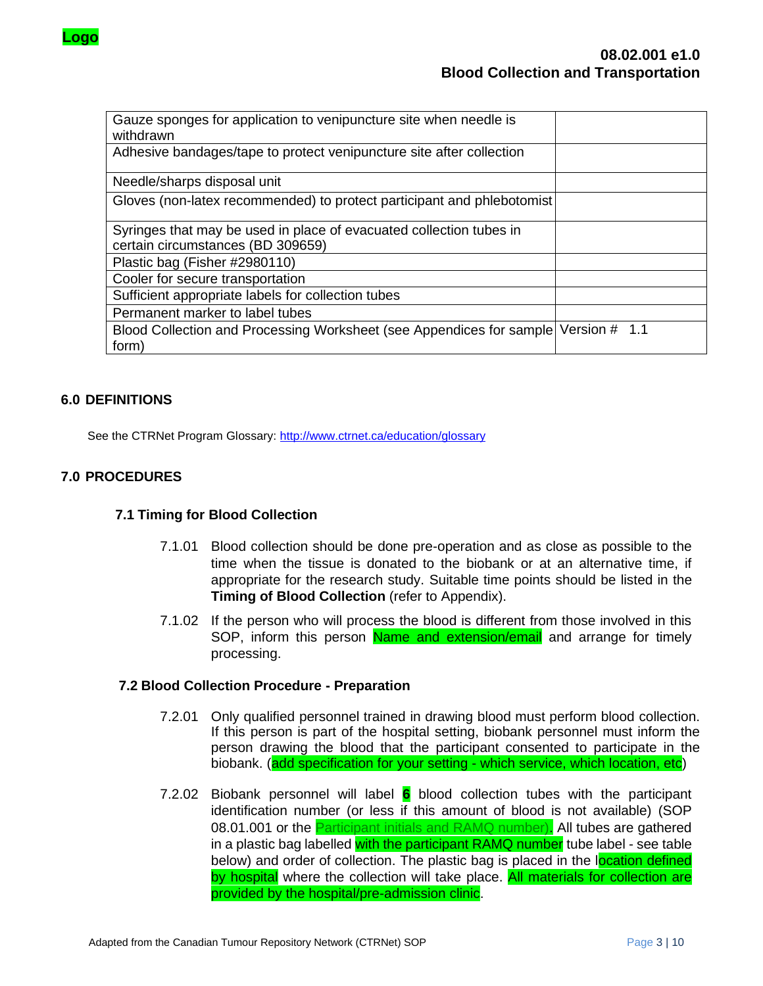

| Gauze sponges for application to venipuncture site when needle is<br>withdrawn      |  |
|-------------------------------------------------------------------------------------|--|
| Adhesive bandages/tape to protect venipuncture site after collection                |  |
| Needle/sharps disposal unit                                                         |  |
| Gloves (non-latex recommended) to protect participant and phlebotomist              |  |
| Syringes that may be used in place of evacuated collection tubes in                 |  |
| certain circumstances (BD 309659)                                                   |  |
| Plastic bag (Fisher #2980110)                                                       |  |
| Cooler for secure transportation                                                    |  |
| Sufficient appropriate labels for collection tubes                                  |  |
| Permanent marker to label tubes                                                     |  |
| Blood Collection and Processing Worksheet (see Appendices for sample Version # 1.1) |  |
| form)                                                                               |  |

## **6.0 DEFINITIONS**

See the CTRNet Program Glossary:<http://www.ctrnet.ca/education/glossary>

# **7.0 PROCEDURES**

#### **7.1 Timing for Blood Collection**

- 7.1.01 Blood collection should be done pre-operation and as close as possible to the time when the tissue is donated to the biobank or at an alternative time, if appropriate for the research study. Suitable time points should be listed in the **Timing of Blood Collection** (refer to Appendix).
- 7.1.02 If the person who will process the blood is different from those involved in this SOP, inform this person Name and extension/email and arrange for timely processing.

#### **7.2 Blood Collection Procedure - Preparation**

- 7.2.01 Only qualified personnel trained in drawing blood must perform blood collection. If this person is part of the hospital setting, biobank personnel must inform the person drawing the blood that the participant consented to participate in the biobank. (add specification for your setting - which service, which location, etc)
- 7.2.02 Biobank personnel will label **6** blood collection tubes with the participant identification number (or less if this amount of blood is not available) (SOP 08.01.001 or the Participant initials and RAMQ number). All tubes are gathered in a plastic bag labelled with the participant RAMQ number tube label - see table below) and order of collection. The plastic bag is placed in the location defined by hospital where the collection will take place. All materials for collection are provided by the hospital/pre-admission clinic.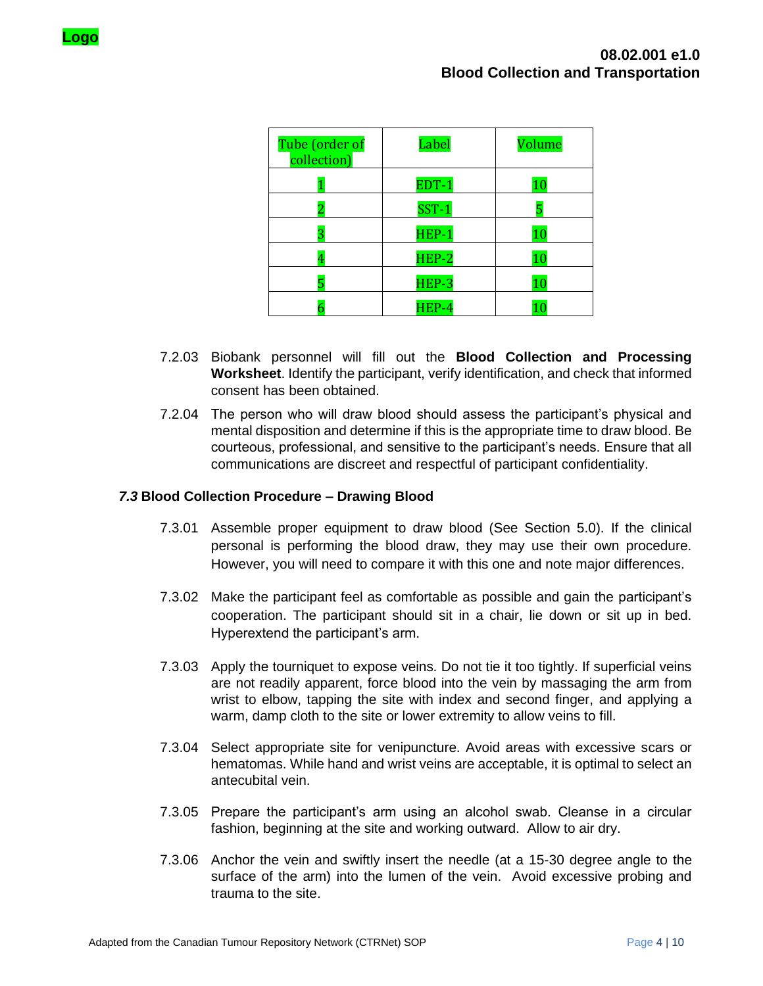| Tube (order of<br>collection) | Label   | Volume |
|-------------------------------|---------|--------|
|                               | EDT-1   | 10     |
|                               | $SST-1$ |        |
| З                             | $HEP-1$ | 10     |
| 4                             | $HEP-2$ | 10     |
| 5                             | HEP-3   | 10     |
|                               | HEP-4   |        |

- 7.2.03 Biobank personnel will fill out the **Blood Collection and Processing Worksheet**. Identify the participant, verify identification, and check that informed consent has been obtained.
- 7.2.04 The person who will draw blood should assess the participant's physical and mental disposition and determine if this is the appropriate time to draw blood. Be courteous, professional, and sensitive to the participant's needs. Ensure that all communications are discreet and respectful of participant confidentiality.

### *7.3* **Blood Collection Procedure – Drawing Blood**

- 7.3.01 Assemble proper equipment to draw blood (See Section 5.0). If the clinical personal is performing the blood draw, they may use their own procedure. However, you will need to compare it with this one and note major differences.
- 7.3.02 Make the participant feel as comfortable as possible and gain the participant's cooperation. The participant should sit in a chair, lie down or sit up in bed. Hyperextend the participant's arm.
- 7.3.03 Apply the tourniquet to expose veins. Do not tie it too tightly. If superficial veins are not readily apparent, force blood into the vein by massaging the arm from wrist to elbow, tapping the site with index and second finger, and applying a warm, damp cloth to the site or lower extremity to allow veins to fill.
- 7.3.04 Select appropriate site for venipuncture. Avoid areas with excessive scars or hematomas. While hand and wrist veins are acceptable, it is optimal to select an antecubital vein.
- 7.3.05 Prepare the participant's arm using an alcohol swab. Cleanse in a circular fashion, beginning at the site and working outward. Allow to air dry.
- 7.3.06 Anchor the vein and swiftly insert the needle (at a 15-30 degree angle to the surface of the arm) into the lumen of the vein. Avoid excessive probing and trauma to the site.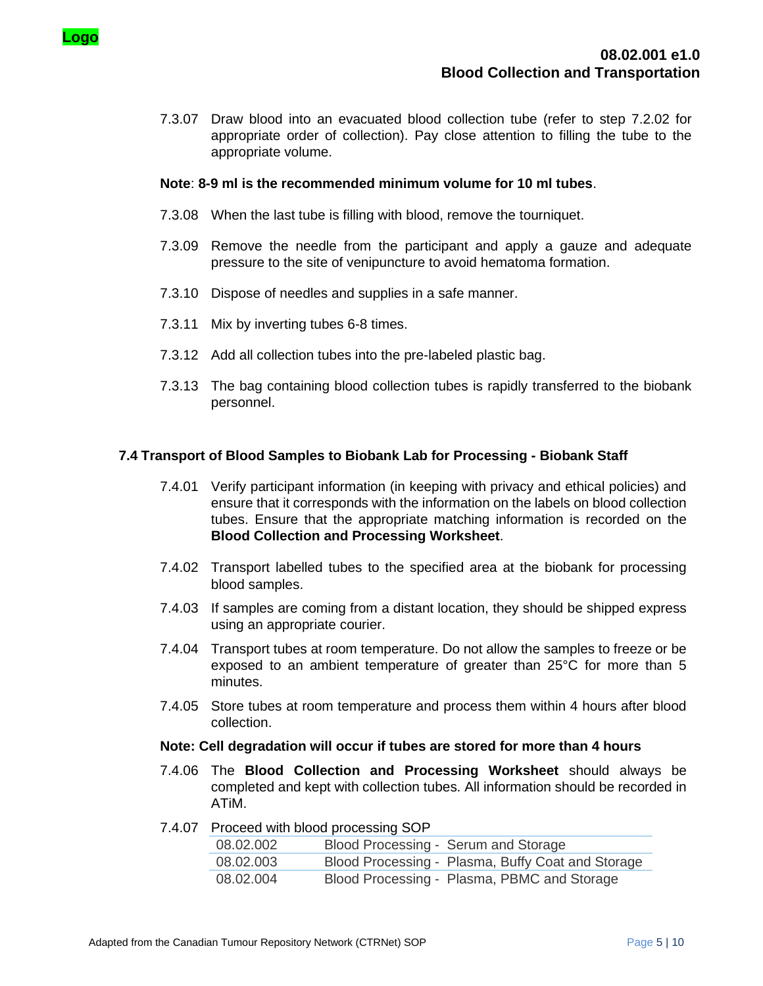

7.3.07 Draw blood into an evacuated blood collection tube (refer to step 7.2.02 for appropriate order of collection). Pay close attention to filling the tube to the appropriate volume.

#### **Note**: **8-9 ml is the recommended minimum volume for 10 ml tubes**.

- 7.3.08 When the last tube is filling with blood, remove the tourniquet.
- 7.3.09 Remove the needle from the participant and apply a gauze and adequate pressure to the site of venipuncture to avoid hematoma formation.
- 7.3.10 Dispose of needles and supplies in a safe manner.
- 7.3.11 Mix by inverting tubes 6-8 times.
- 7.3.12 Add all collection tubes into the pre-labeled plastic bag.
- 7.3.13 The bag containing blood collection tubes is rapidly transferred to the biobank personnel.

## **7.4 Transport of Blood Samples to Biobank Lab for Processing - Biobank Staff**

- 7.4.01 Verify participant information (in keeping with privacy and ethical policies) and ensure that it corresponds with the information on the labels on blood collection tubes. Ensure that the appropriate matching information is recorded on the **Blood Collection and Processing Worksheet**.
- 7.4.02 Transport labelled tubes to the specified area at the biobank for processing blood samples.
- 7.4.03 If samples are coming from a distant location, they should be shipped express using an appropriate courier.
- 7.4.04 Transport tubes at room temperature. Do not allow the samples to freeze or be exposed to an ambient temperature of greater than 25°C for more than 5 minutes.
- 7.4.05 Store tubes at room temperature and process them within 4 hours after blood collection.

#### **Note: Cell degradation will occur if tubes are stored for more than 4 hours**

- 7.4.06 The **Blood Collection and Processing Worksheet** should always be completed and kept with collection tubes. All information should be recorded in ATiM.
- 7.4.07 Proceed with blood processing SOP

| 08.02.002 | Blood Processing - Serum and Storage              |
|-----------|---------------------------------------------------|
| 08.02.003 | Blood Processing - Plasma, Buffy Coat and Storage |
| 08.02.004 | Blood Processing - Plasma, PBMC and Storage       |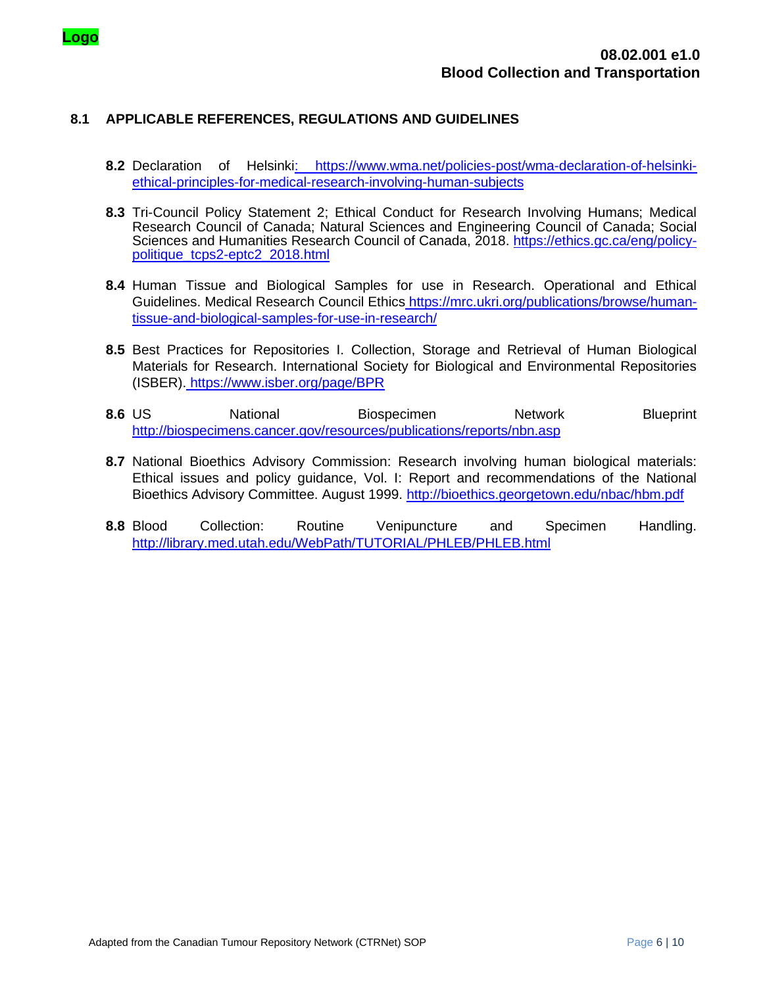

## **8.1 APPLICABLE REFERENCES, REGULATIONS AND GUIDELINES**

- **8.2** Declaration of Helsinki: [https://www.wma.net/policies-post/wma-declaration-of-helsinki](https://www.wma.net/policies-post/wma-declaration-of-helsinki-ethical-principles-for-medical-research-involving-human-subjects)[ethical-principles-for-medical-research-involving-human-subjects](https://www.wma.net/policies-post/wma-declaration-of-helsinki-ethical-principles-for-medical-research-involving-human-subjects)
- **8.3** Tri-Council Policy Statement 2; Ethical Conduct for Research Involving Humans; Medical Research Council of Canada; Natural Sciences and Engineering Council of Canada; Social Sciences and Humanities Research Council of Canada, 2018. [https://ethics.gc.ca/eng/policy](https://ethics.gc.ca/eng/policy-politique_tcps2-eptc2_2018.html)[politique\\_tcps2-eptc2\\_2018.html](https://ethics.gc.ca/eng/policy-politique_tcps2-eptc2_2018.html)
- **8.4** Human Tissue and Biological Samples for use in Research. Operational and Ethical Guidelines. Medical Research Council Ethics [https://mrc.ukri.org/publications/browse/human](https://mrc.ukri.org/publications/browse/human-tissue-and-biological-samples-for-use-in-research/)[tissue-and-biological-samples-for-use-in-research/](https://mrc.ukri.org/publications/browse/human-tissue-and-biological-samples-for-use-in-research/)
- **8.5** Best Practices for Repositories I. Collection, Storage and Retrieval of Human Biological Materials for Research. International Society for Biological and Environmental Repositories (ISBER). <https://www.isber.org/page/BPR>
- **8.6** US **National Biospecimen Network** Blueprint <http://biospecimens.cancer.gov/resources/publications/reports/nbn.asp>
- **8.7** National Bioethics Advisory Commission: Research involving human biological materials: Ethical issues and policy guidance, Vol. I: Report and recommendations of the National Bioethics Advisory Committee. August 1999.<http://bioethics.georgetown.edu/nbac/hbm.pdf>
- **8.8** Blood Collection: Routine Venipuncture and Specimen Handling. <http://library.med.utah.edu/WebPath/TUTORIAL/PHLEB/PHLEB.html>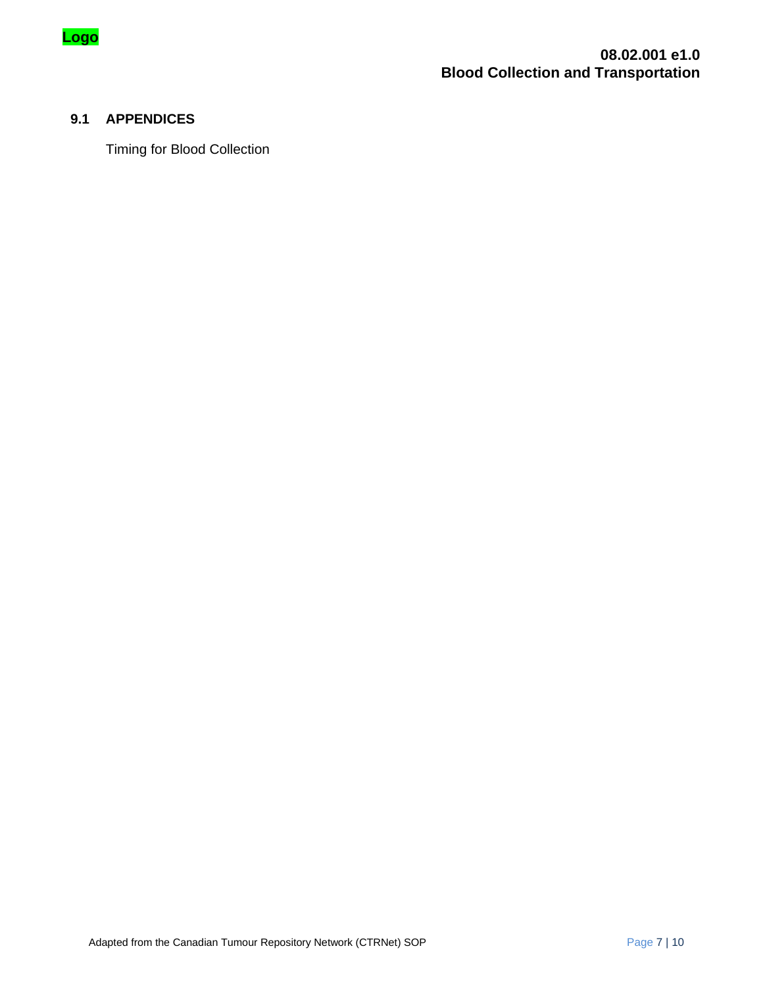

# **9.1 APPENDICES**

Timing for Blood Collection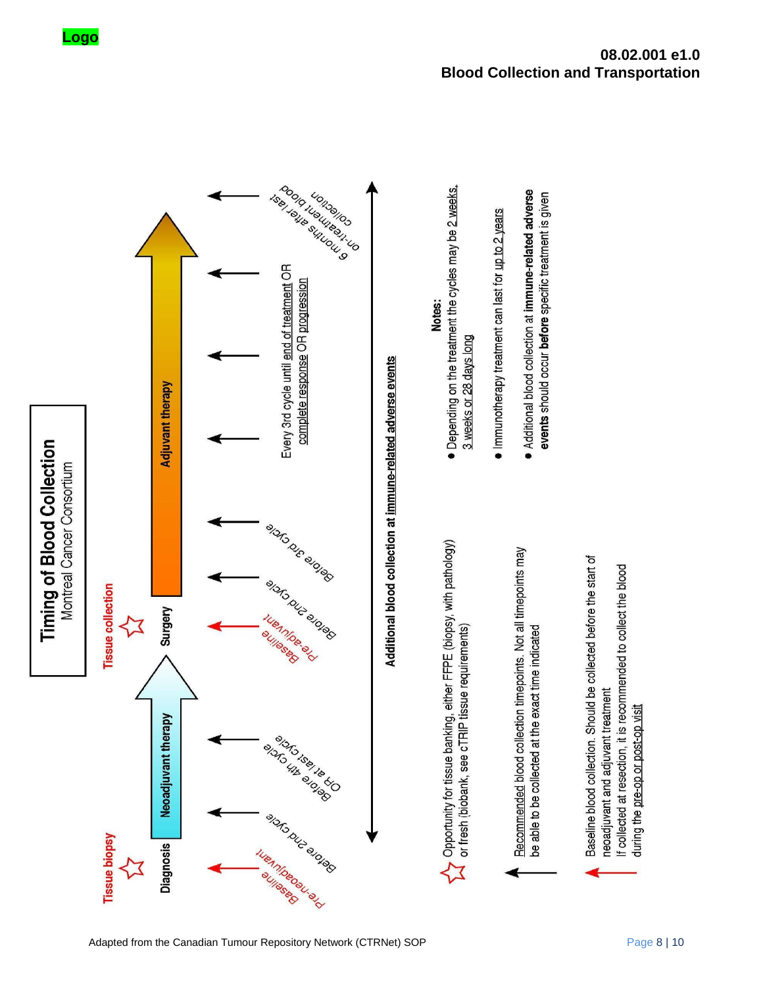events should occur before specific treatment is given



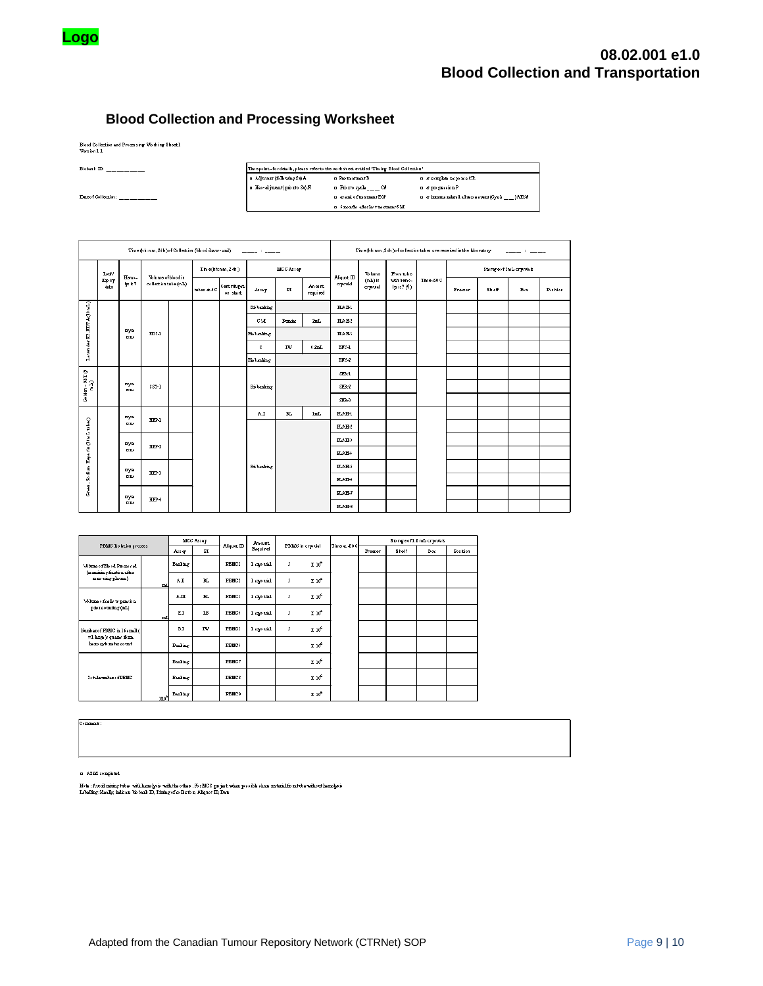

# **Blood Collection and Processing Worksheet**

Blood Collection and Processing Working Sheet.1<br>Version 1.1

| Bisbank ID:         |                              | Tim epoint - for details, please referto the worksheet entitled "Tim ing Blood Collection" |                                                          |
|---------------------|------------------------------|--------------------------------------------------------------------------------------------|----------------------------------------------------------|
|                     | a Adjustat (following Sx) A  | n Pre-treatment B                                                                          | n at complete more non CR.                               |
|                     | a Neo-adjustat(pse rto Sc) N | n Printe ayak ___ Ca                                                                       | a stymphonic EP                                          |
| Date of Collection: |                              | n stand of tratment ECP                                                                    | n at immena mlated adverse swart (Cycle<br>$\rightarrow$ |
|                     |                              | n imanths after his treatment 6 M                                                          |                                                          |

|                                     | Time (hh:mm, 24h) of Collection (blood dxw-and)<br>سيستبدأ والسبابين<br>Time(hh:mm, 24h)<br>Lot /<br>Whime of blood in<br>Hemo-<br>Epir<br>lys is ?<br>collection tube (mL)<br>Centrifugeti<br>date<br>tubes at 4C<br>Asset<br>on start.<br>Laverder E2-EETA(10mL)<br>Bi banling<br>CM<br>nye<br>FDI-1<br>Biobanling<br>000<br>c<br><b>Bishanling</b><br>$G_0$ iden – SST ( $mL$ )<br>nye<br>$$51-1$<br>Bi banking<br>000<br>AI.<br>nye<br>HHP-1<br>000 |              |       |  |  |            |                        |             |                | Time(hh:mm, 2 4h ) of collection tubes are received in the laboratory |           | $\frac{1}{2} \frac{1}{2} \frac{1}{2} \frac{1}{2} \frac{1}{2} \frac{1}{2} \frac{1}{2} \frac{1}{2} \frac{1}{2} \frac{1}{2} \frac{1}{2} \frac{1}{2} \frac{1}{2} \frac{1}{2} \frac{1}{2} \frac{1}{2} \frac{1}{2} \frac{1}{2} \frac{1}{2} \frac{1}{2} \frac{1}{2} \frac{1}{2} \frac{1}{2} \frac{1}{2} \frac{1}{2} \frac{1}{2} \frac{1}{2} \frac{1}{2} \frac{1}{2} \frac{1}{2} \frac{1}{2} \frac{$ |                            |          |                          |       |     |          |
|-------------------------------------|---------------------------------------------------------------------------------------------------------------------------------------------------------------------------------------------------------------------------------------------------------------------------------------------------------------------------------------------------------------------------------------------------------------------------------------------------------|--------------|-------|--|--|------------|------------------------|-------------|----------------|-----------------------------------------------------------------------|-----------|----------------------------------------------------------------------------------------------------------------------------------------------------------------------------------------------------------------------------------------------------------------------------------------------------------------------------------------------------------------------------------------------|----------------------------|----------|--------------------------|-------|-----|----------|
|                                     |                                                                                                                                                                                                                                                                                                                                                                                                                                                         |              |       |  |  |            | <b>MCCAsser</b>        |             | Aliquot. ID    | <b>While</b>                                                          | From tube |                                                                                                                                                                                                                                                                                                                                                                                              |                            |          | Storage of 2mL cryonials |       |     |          |
|                                     |                                                                                                                                                                                                                                                                                                                                                                                                                                                         |              |       |  |  |            |                        |             | PI             | Am ount.<br>required                                                  | cryonial  | $(mL)$ in<br>cryotial                                                                                                                                                                                                                                                                                                                                                                        | with home-<br>lps is ? (V) | Time-50C | Freezer                  | Shoff | Box | Position |
|                                     |                                                                                                                                                                                                                                                                                                                                                                                                                                                         |              |       |  |  |            |                        |             | HAE1           |                                                                       |           |                                                                                                                                                                                                                                                                                                                                                                                              |                            |          |                          |       |     |          |
|                                     |                                                                                                                                                                                                                                                                                                                                                                                                                                                         |              |       |  |  |            | <b>Bunist</b>          | 2mL         | HAE1           |                                                                       |           |                                                                                                                                                                                                                                                                                                                                                                                              |                            |          |                          |       |     |          |
|                                     |                                                                                                                                                                                                                                                                                                                                                                                                                                                         |              |       |  |  |            |                        |             | HAE3           |                                                                       |           |                                                                                                                                                                                                                                                                                                                                                                                              |                            |          |                          |       |     |          |
|                                     |                                                                                                                                                                                                                                                                                                                                                                                                                                                         |              |       |  |  |            | IW                     | $0.2mL$     | $\text{BFC-1}$ |                                                                       |           |                                                                                                                                                                                                                                                                                                                                                                                              |                            |          |                          |       |     |          |
|                                     |                                                                                                                                                                                                                                                                                                                                                                                                                                                         |              |       |  |  |            |                        |             | BFC-2          |                                                                       |           |                                                                                                                                                                                                                                                                                                                                                                                              |                            |          |                          |       |     |          |
| e                                   |                                                                                                                                                                                                                                                                                                                                                                                                                                                         |              |       |  |  |            |                        |             | SER-1          |                                                                       |           |                                                                                                                                                                                                                                                                                                                                                                                              |                            |          |                          |       |     |          |
|                                     |                                                                                                                                                                                                                                                                                                                                                                                                                                                         |              |       |  |  |            |                        |             | $SEB-2$        |                                                                       |           |                                                                                                                                                                                                                                                                                                                                                                                              |                            |          |                          |       |     |          |
|                                     |                                                                                                                                                                                                                                                                                                                                                                                                                                                         |              |       |  |  |            |                        |             |                |                                                                       | SEB-3     |                                                                                                                                                                                                                                                                                                                                                                                              |                            |          |                          |       |     |          |
|                                     |                                                                                                                                                                                                                                                                                                                                                                                                                                                         |              |       |  |  |            | $\mathbb{R}\mathbb{L}$ | $_{\rm lm}$ | <b>FLAH-1</b>  |                                                                       |           |                                                                                                                                                                                                                                                                                                                                                                                              |                            |          |                          |       |     |          |
|                                     |                                                                                                                                                                                                                                                                                                                                                                                                                                                         |              |       |  |  |            |                        |             | H.A.H.2        |                                                                       |           |                                                                                                                                                                                                                                                                                                                                                                                              |                            |          |                          |       |     |          |
|                                     |                                                                                                                                                                                                                                                                                                                                                                                                                                                         | nyw          | HFP-2 |  |  |            |                        |             | HAH-3          |                                                                       |           |                                                                                                                                                                                                                                                                                                                                                                                              |                            |          |                          |       |     |          |
|                                     |                                                                                                                                                                                                                                                                                                                                                                                                                                                         | <b>D</b> DO  |       |  |  |            |                        |             | FLAH+          |                                                                       |           |                                                                                                                                                                                                                                                                                                                                                                                              |                            |          |                          |       |     |          |
| Green - So dium Esperin (10m Lubes) |                                                                                                                                                                                                                                                                                                                                                                                                                                                         | nyw          | HPP-3 |  |  | Bb banking |                        |             | FLAH-3         |                                                                       |           |                                                                                                                                                                                                                                                                                                                                                                                              |                            |          |                          |       |     |          |
|                                     |                                                                                                                                                                                                                                                                                                                                                                                                                                                         | 000          |       |  |  |            |                        |             | FLAH-6         |                                                                       |           |                                                                                                                                                                                                                                                                                                                                                                                              |                            |          |                          |       |     |          |
|                                     |                                                                                                                                                                                                                                                                                                                                                                                                                                                         | nye          | HP+   |  |  |            |                        |             | HAH-7          |                                                                       |           |                                                                                                                                                                                                                                                                                                                                                                                              |                            |          |                          |       |     |          |
|                                     |                                                                                                                                                                                                                                                                                                                                                                                                                                                         | <b>D</b> Tuo |       |  |  |            |                        |             | HAH-8          |                                                                       |           |                                                                                                                                                                                                                                                                                                                                                                                              |                            |          |                          |       |     |          |

|                                                                               |                 | <b>MCC Asser</b> |              | Amount<br>Aliquot ID |            | PBMC in crysvial |                   | Time at 50C | Storegoof 1.5 mL cryonick |       |     |          |  |
|-------------------------------------------------------------------------------|-----------------|------------------|--------------|----------------------|------------|------------------|-------------------|-------------|---------------------------|-------|-----|----------|--|
| PELIC Bolation process                                                        |                 | Asser            | $_{\rm{PI}}$ |                      | Bequired   |                  |                   |             | Freger                    | Sholf | Box | Position |  |
| Whitness fBlood Pip careed<br>(te maining fraction after                      |                 | Bunling          |              | PBMC1                | l cao uial | 5                | X <sub>10</sub>   |             |                           |       |     |          |  |
| nomo ving plasma)                                                             | mI              | AΠ               | BL.          | PBMC2                | l sao uial | 5                | X 10 <sup>6</sup> |             |                           |       |     |          |  |
| <b>V6 hma o foalls w pans b n</b>                                             |                 | AШ               | BL.          | PBMC3                | l sao uial | 5                | X 10 <sup>6</sup> |             |                           |       |     |          |  |
| prior counting (mL)                                                           | mL              | ΕI               | <b>IB</b>    | PBMC+                | l sao vial | 5                | X 10 <sup>6</sup> |             |                           |       |     |          |  |
| Number of PBMC in 16c mall (<br>=1 hrm) quants form<br>home system at as unit |                 | вI               | <b>TW</b>    | PBMC3                | l sao vial | 5                | $X 10^6$          |             |                           |       |     |          |  |
|                                                                               |                 | Banking          |              | PBMC <sub>1</sub>    |            |                  | $X 10^6$          |             |                           |       |     |          |  |
|                                                                               |                 | Banking          |              | PBMC7                |            |                  | X 10°             |             |                           |       |     |          |  |
| Iotalnumbaro fPBMC                                                            |                 | Banking          |              | PBMC8                |            |                  | X 10°             |             |                           |       |     |          |  |
|                                                                               | ym <sup>6</sup> | Busing           |              | PEMC9                |            |                  | X 10 <sup>6</sup> |             |                           |       |     |          |  |

Commant:

 $\alpha$  AIM completed

Note : Are il mixing tube with hemolycie with the other . For MCC project, when possible show material from two without hemolycie<br>Labelling: Heally, indicate bis band ID, Timing of collection, Aliquot ID, Date